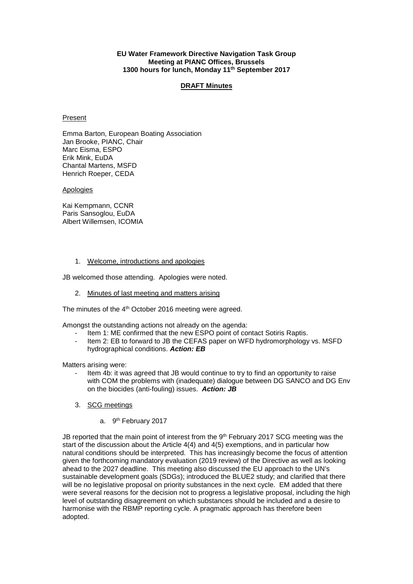### **EU Water Framework Directive Navigation Task Group Meeting at PIANC Offices, Brussels 1300 hours for lunch, Monday 11th September 2017**

### **DRAFT Minutes**

#### **Present**

Emma Barton, European Boating Association Jan Brooke, PIANC, Chair Marc Eisma, ESPO Erik Mink, EuDA Chantal Martens, MSFD Henrich Roeper, CEDA

**Apologies** 

Kai Kempmann, CCNR Paris Sansoglou, EuDA Albert Willemsen, ICOMIA

### 1. Welcome, introductions and apologies

JB welcomed those attending. Apologies were noted.

2. Minutes of last meeting and matters arising

The minutes of the 4<sup>th</sup> October 2016 meeting were agreed.

Amongst the outstanding actions not already on the agenda:

- Item 1: ME confirmed that the new ESPO point of contact Sotiris Raptis.
- Item 2: EB to forward to JB the CEFAS paper on WFD hydromorphology vs. MSFD hydrographical conditions. *Action: EB*

Matters arising were:

- Item 4b: it was agreed that JB would continue to try to find an opportunity to raise with COM the problems with (inadequate) dialogue between DG SANCO and DG Env on the biocides (anti-fouling) issues. *Action: JB*
- 3. SCG meetings
	- a. 9th February 2017

JB reported that the main point of interest from the 9th February 2017 SCG meeting was the start of the discussion about the Article 4(4) and 4(5) exemptions, and in particular how natural conditions should be interpreted. This has increasingly become the focus of attention given the forthcoming mandatory evaluation (2019 review) of the Directive as well as looking ahead to the 2027 deadline. This meeting also discussed the EU approach to the UN's sustainable development goals (SDGs); introduced the BLUE2 study; and clarified that there will be no legislative proposal on priority substances in the next cycle. EM added that there were several reasons for the decision not to progress a legislative proposal, including the high level of outstanding disagreement on which substances should be included and a desire to harmonise with the RBMP reporting cycle. A pragmatic approach has therefore been adopted.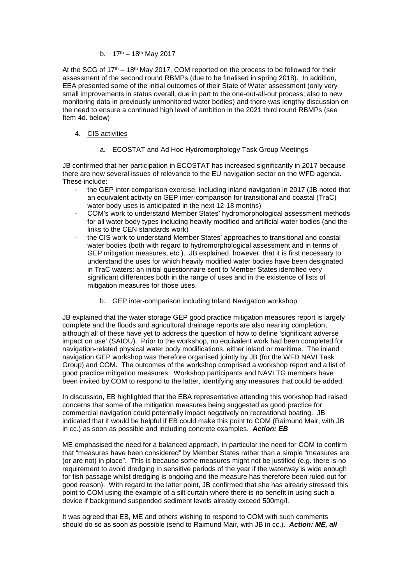## b.  $17^{th} - 18^{th}$  May 2017

At the SCG of  $17<sup>th</sup> - 18<sup>th</sup>$  May 2017, COM reported on the process to be followed for their assessment of the second round RBMPs (due to be finalised in spring 2018). In addition, EEA presented some of the initial outcomes of their State of Water assessment (only very small improvements in status overall, due in part to the one-out-all-out process; also to new monitoring data in previously unmonitored water bodies) and there was lengthy discussion on the need to ensure a continued high level of ambition in the 2021 third round RBMPs (see Item 4d. below)

## 4. CIS activities

a. ECOSTAT and Ad Hoc Hydromorphology Task Group Meetings

JB confirmed that her participation in ECOSTAT has increased significantly in 2017 because there are now several issues of relevance to the EU navigation sector on the WFD agenda. These include:

- the GEP inter-comparison exercise, including inland navigation in 2017 (JB noted that an equivalent activity on GEP inter-comparison for transitional and coastal (TraC) water body uses is anticipated in the next 12-18 months)
- COM's work to understand Member States' hydromorphological assessment methods for all water body types including heavily modified and artificial water bodies (and the links to the CEN standards work)
- the CIS work to understand Member States' approaches to transitional and coastal water bodies (both with regard to hydromorphological assessment and in terms of GEP mitigation measures, etc.). JB explained, however, that it is first necessary to understand the uses for which heavily modified water bodies have been designated in TraC waters: an initial questionnaire sent to Member States identified very significant differences both in the range of uses and in the existence of lists of mitigation measures for those uses.
	- b. GEP inter-comparison including Inland Navigation workshop

JB explained that the water storage GEP good practice mitigation measures report is largely complete and the floods and agricultural drainage reports are also nearing completion, although all of these have yet to address the question of how to define 'significant adverse impact on use' (SAIOU). Prior to the workshop, no equivalent work had been completed for navigation-related physical water body modifications, either inland or maritime. The inland navigation GEP workshop was therefore organised jointly by JB (for the WFD NAVI Task Group) and COM. The outcomes of the workshop comprised a workshop report and a list of good practice mitigation measures. Workshop participants and NAVI TG members have been invited by COM to respond to the latter, identifying any measures that could be added.

In discussion, EB highlighted that the EBA representative attending this workshop had raised concerns that some of the mitigation measures being suggested as good practice for commercial navigation could potentially impact negatively on recreational boating. JB indicated that it would be helpful if EB could make this point to COM (Raimund Mair, with JB in cc.) as soon as possible and including concrete examples. *Action: EB*

ME emphasised the need for a balanced approach, in particular the need for COM to confirm that "measures have been considered" by Member States rather than a simple "measures are (or are not) in place". This is because some measures might not be justified (e.g. there is no requirement to avoid dredging in sensitive periods of the year if the waterway is wide enough for fish passage whilst dredging is ongoing and the measure has therefore been ruled out for good reason). With regard to the latter point, JB confirmed that she has already stressed this point to COM using the example of a silt curtain where there is no benefit in using such a device if background suspended sediment levels already exceed 500mg/l.

It was agreed that EB, ME and others wishing to respond to COM with such comments should do so as soon as possible (send to Raimund Mair, with JB in cc.). *Action: ME, all*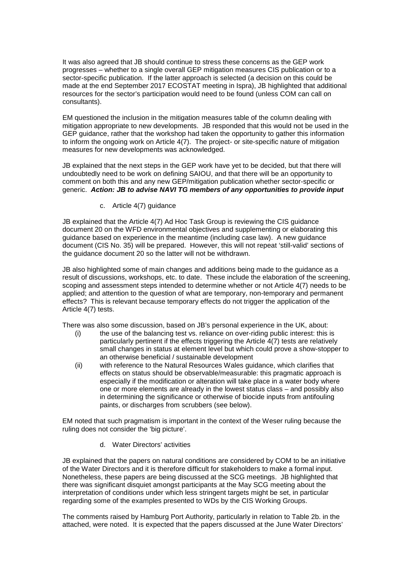It was also agreed that JB should continue to stress these concerns as the GEP work progresses – whether to a single overall GEP mitigation measures CIS publication or to a sector-specific publication. If the latter approach is selected (a decision on this could be made at the end September 2017 ECOSTAT meeting in Ispra), JB highlighted that additional resources for the sector's participation would need to be found (unless COM can call on consultants).

EM questioned the inclusion in the mitigation measures table of the column dealing with mitigation appropriate to new developments. JB responded that this would not be used in the GEP guidance, rather that the workshop had taken the opportunity to gather this information to inform the ongoing work on Article 4(7). The project- or site-specific nature of mitigation measures for new developments was acknowledged.

JB explained that the next steps in the GEP work have yet to be decided, but that there will undoubtedly need to be work on defining SAIOU, and that there will be an opportunity to comment on both this and any new GEP/mitigation publication whether sector-specific or generic. *Action: JB to advise NAVI TG members of any opportunities to provide input* 

c. Article 4(7) guidance

JB explained that the Article 4(7) Ad Hoc Task Group is reviewing the CIS guidance document 20 on the WFD environmental objectives and supplementing or elaborating this guidance based on experience in the meantime (including case law). A new guidance document (CIS No. 35) will be prepared. However, this will not repeat 'still-valid' sections of the guidance document 20 so the latter will not be withdrawn.

JB also highlighted some of main changes and additions being made to the guidance as a result of discussions, workshops, etc. to date. These include the elaboration of the screening, scoping and assessment steps intended to determine whether or not Article 4(7) needs to be applied; and attention to the question of what are temporary, non-temporary and permanent effects? This is relevant because temporary effects do not trigger the application of the Article 4(7) tests.

There was also some discussion, based on JB's personal experience in the UK, about:

- (i) the use of the balancing test vs. reliance on over-riding public interest: this is particularly pertinent if the effects triggering the Article 4(7) tests are relatively small changes in status at element level but which could prove a show-stopper to an otherwise beneficial / sustainable development
- (ii) with reference to the Natural Resources Wales guidance, which clarifies that effects on status should be observable/measurable: this pragmatic approach is especially if the modification or alteration will take place in a water body where one or more elements are already in the lowest status class – and possibly also in determining the significance or otherwise of biocide inputs from antifouling paints, or discharges from scrubbers (see below).

EM noted that such pragmatism is important in the context of the Weser ruling because the ruling does not consider the 'big picture'.

d. Water Directors' activities

JB explained that the papers on natural conditions are considered by COM to be an initiative of the Water Directors and it is therefore difficult for stakeholders to make a formal input. Nonetheless, these papers are being discussed at the SCG meetings. JB highlighted that there was significant disquiet amongst participants at the May SCG meeting about the interpretation of conditions under which less stringent targets might be set, in particular regarding some of the examples presented to WDs by the CIS Working Groups.

The comments raised by Hamburg Port Authority, particularly in relation to Table 2b. in the attached, were noted. It is expected that the papers discussed at the June Water Directors'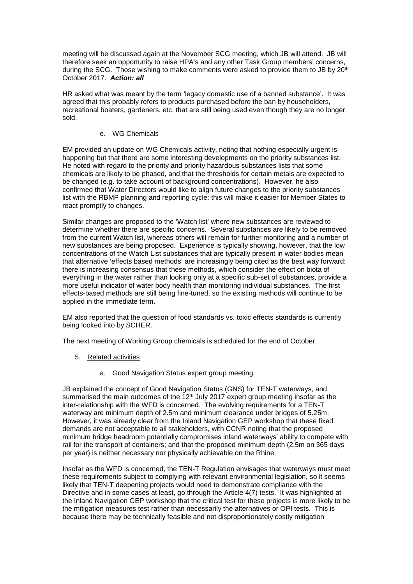meeting will be discussed again at the November SCG meeting, which JB will attend. JB will therefore seek an opportunity to raise HPA's and any other Task Group members' concerns, during the SCG. Those wishing to make comments were asked to provide them to JB by  $20<sup>th</sup>$ October 2017. *Action: all*

HR asked what was meant by the term 'legacy domestic use of a banned substance'. It was agreed that this probably refers to products purchased before the ban by householders, recreational boaters, gardeners, etc. that are still being used even though they are no longer sold.

### e. WG Chemicals

EM provided an update on WG Chemicals activity, noting that nothing especially urgent is happening but that there are some interesting developments on the priority substances list. He noted with regard to the priority and priority hazardous substances lists that some chemicals are likely to be phased, and that the thresholds for certain metals are expected to be changed (e.g. to take account of background concentrations). However, he also confirmed that Water Directors would like to align future changes to the priority substances list with the RBMP planning and reporting cycle: this will make it easier for Member States to react promptly to changes.

Similar changes are proposed to the 'Watch list' where new substances are reviewed to determine whether there are specific concerns. Several substances are likely to be removed from the current Watch list, whereas others will remain for further monitoring and a number of new substances are being proposed. Experience is typically showing, however, that the low concentrations of the Watch List substances that are typically present in water bodies mean that alternative 'effects based methods' are increasingly being cited as the best way forward: there is increasing consensus that these methods, which consider the effect on biota of everything in the water rather than looking only at a specific sub-set of substances, provide a more useful indicator of water body health than monitoring individual substances. The first effects-based methods are still being fine-tuned, so the existing methods will continue to be applied in the immediate term.

EM also reported that the question of food standards vs. toxic effects standards is currently being looked into by SCHER.

The next meeting of Working Group chemicals is scheduled for the end of October.

- 5. Related activities
	- a. Good Navigation Status expert group meeting

JB explained the concept of Good Navigation Status (GNS) for TEN-T waterways, and summarised the main outcomes of the  $12<sup>th</sup>$  July 2017 expert group meeting insofar as the inter-relationship with the WFD is concerned. The evolving requirements for a TEN-T waterway are minimum depth of 2.5m and minimum clearance under bridges of 5.25m. However, it was already clear from the Inland Navigation GEP workshop that these fixed demands are not acceptable to all stakeholders, with CCNR noting that the proposed minimum bridge headroom potentially compromises inland waterways' ability to compete with rail for the transport of containers; and that the proposed minimum depth (2.5m on 365 days per year) is neither necessary nor physically achievable on the Rhine.

Insofar as the WFD is concerned, the TEN-T Regulation envisages that waterways must meet these requirements subject to complying with relevant environmental legislation, so it seems likely that TEN-T deepening projects would need to demonstrate compliance with the Directive and in some cases at least, go through the Article 4(7) tests. It was highlighted at the Inland Navigation GEP workshop that the critical test for these projects is more likely to be the mitigation measures test rather than necessarily the alternatives or OPI tests. This is because there may be technically feasible and not disproportionately costly mitigation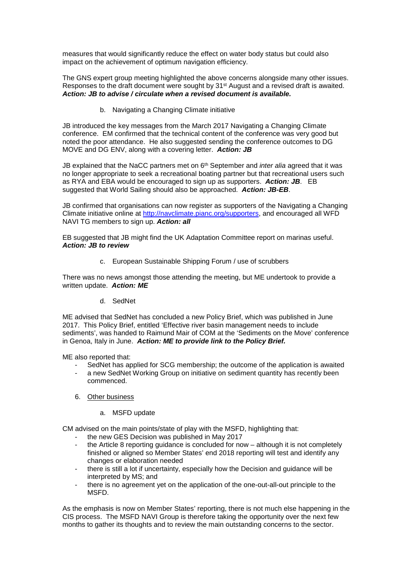measures that would significantly reduce the effect on water body status but could also impact on the achievement of optimum navigation efficiency.

The GNS expert group meeting highlighted the above concerns alongside many other issues. Responses to the draft document were sought by 31st August and a revised draft is awaited. *Action: JB to advise / circulate when a revised document is available.*

b. Navigating a Changing Climate initiative

JB introduced the key messages from the March 2017 Navigating a Changing Climate conference. EM confirmed that the technical content of the conference was very good but noted the poor attendance. He also suggested sending the conference outcomes to DG MOVE and DG ENV, along with a covering letter. *Action: JB*

JB explained that the NaCC partners met on 6th September and *inter alia* agreed that it was no longer appropriate to seek a recreational boating partner but that recreational users such as RYA and EBA would be encouraged to sign up as supporters. *Action: JB*. EB suggested that World Sailing should also be approached. *Action: JB-EB*.

JB confirmed that organisations can now register as supporters of the Navigating a Changing Climate initiative online at [http://navclimate.pianc.org/supporters,](http://navclimate.pianc.org/supporters) and encouraged all WFD NAVI TG members to sign up. *Action: all*

EB suggested that JB might find the UK Adaptation Committee report on marinas useful. *Action: JB to review*

c. European Sustainable Shipping Forum / use of scrubbers

There was no news amongst those attending the meeting, but ME undertook to provide a written update. *Action: ME*

d. SedNet

ME advised that SedNet has concluded a new Policy Brief, which was published in June 2017. This Policy Brief, entitled 'Effective river basin management needs to include sediments', was handed to Raimund Mair of COM at the 'Sediments on the Move' conference in Genoa, Italy in June. *Action: ME to provide link to the Policy Brief.*

ME also reported that:

- SedNet has applied for SCG membership; the outcome of the application is awaited
- a new SedNet Working Group on initiative on sediment quantity has recently been commenced.
- 6. Other business
	- a. MSFD update

CM advised on the main points/state of play with the MSFD, highlighting that:

- the new GES Decision was published in May 2017<br>- the Article 8 reporting quidance is concluded for no
- the Article 8 reporting guidance is concluded for now although it is not completely finished or aligned so Member States' end 2018 reporting will test and identify any changes or elaboration needed
- there is still a lot if uncertainty, especially how the Decision and guidance will be interpreted by MS; and
- there is no agreement yet on the application of the one-out-all-out principle to the MSFD.

As the emphasis is now on Member States' reporting, there is not much else happening in the CIS process. The MSFD NAVI Group is therefore taking the opportunity over the next few months to gather its thoughts and to review the main outstanding concerns to the sector.